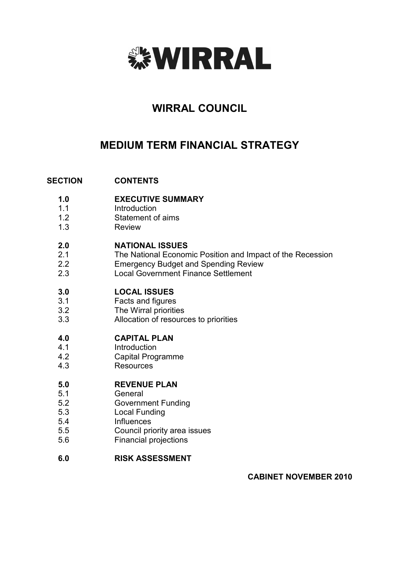

# WIRRAL COUNCIL

# MEDIUM TERM FINANCIAL STRATEGY

#### **SECTION CONTENTS**

- 1.0 EXECUTIVE SUMMARY
- 1.1 Introduction
- 1.2 Statement of aims
- 1.3 Review

#### 2.0 NATIONAL ISSUES

- 2.1 The National Economic Position and Impact of the Recession
- 2.2 Emergency Budget and Spending Review
- 2.3 Local Government Finance Settlement

#### 3.0 LOCAL ISSUES

- 3.1 Facts and figures
- 3.2 The Wirral priorities
- 3.3 Allocation of resources to priorities

#### 4.0 CAPITAL PLAN

- 4.1 Introduction
- 4.2 Capital Programme
- 4.3 **Resources**

#### 5.0 REVENUE PLAN

- 5.1 General
- 5.2 Government Funding
- 5.3 Local Funding
- 5.4 **Influences**
- 5.5 Council priority area issues
- 5.6 Financial projections

#### 6.0 RISK ASSESSMENT

CABINET NOVEMBER 2010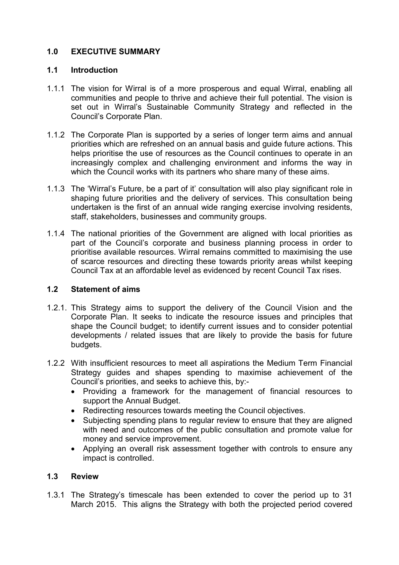# 1.0 EXECUTIVE SUMMARY

# 1.1 Introduction

- 1.1.1 The vision for Wirral is of a more prosperous and equal Wirral, enabling all communities and people to thrive and achieve their full potential. The vision is set out in Wirral's Sustainable Community Strategy and reflected in the Council's Corporate Plan.
- 1.1.2 The Corporate Plan is supported by a series of longer term aims and annual priorities which are refreshed on an annual basis and guide future actions. This helps prioritise the use of resources as the Council continues to operate in an increasingly complex and challenging environment and informs the way in which the Council works with its partners who share many of these aims.
- 1.1.3 The 'Wirral's Future, be a part of it' consultation will also play significant role in shaping future priorities and the delivery of services. This consultation being undertaken is the first of an annual wide ranging exercise involving residents, staff, stakeholders, businesses and community groups.
- 1.1.4 The national priorities of the Government are aligned with local priorities as part of the Council's corporate and business planning process in order to prioritise available resources. Wirral remains committed to maximising the use of scarce resources and directing these towards priority areas whilst keeping Council Tax at an affordable level as evidenced by recent Council Tax rises.

# 1.2 Statement of aims

- 1.2.1. This Strategy aims to support the delivery of the Council Vision and the Corporate Plan. It seeks to indicate the resource issues and principles that shape the Council budget; to identify current issues and to consider potential developments / related issues that are likely to provide the basis for future budgets.
- 1.2.2 With insufficient resources to meet all aspirations the Medium Term Financial Strategy guides and shapes spending to maximise achievement of the Council's priorities, and seeks to achieve this, by:-
	- Providing a framework for the management of financial resources to support the Annual Budget.
	- Redirecting resources towards meeting the Council objectives.
	- Subjecting spending plans to regular review to ensure that they are aligned with need and outcomes of the public consultation and promote value for money and service improvement.
	- Applying an overall risk assessment together with controls to ensure any impact is controlled.

# 1.3 Review

1.3.1 The Strategy's timescale has been extended to cover the period up to 31 March 2015. This aligns the Strategy with both the projected period covered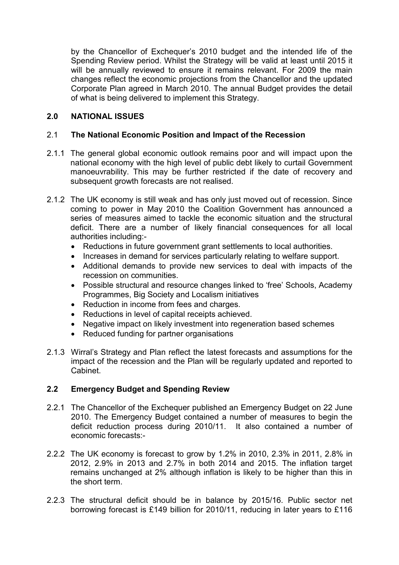by the Chancellor of Exchequer's 2010 budget and the intended life of the Spending Review period. Whilst the Strategy will be valid at least until 2015 it will be annually reviewed to ensure it remains relevant. For 2009 the main changes reflect the economic projections from the Chancellor and the updated Corporate Plan agreed in March 2010. The annual Budget provides the detail of what is being delivered to implement this Strategy.

# 2.0 NATIONAL ISSUES

# 2.1 The National Economic Position and Impact of the Recession

- 2.1.1 The general global economic outlook remains poor and will impact upon the national economy with the high level of public debt likely to curtail Government manoeuvrability. This may be further restricted if the date of recovery and subsequent growth forecasts are not realised.
- 2.1.2 The UK economy is still weak and has only just moved out of recession. Since coming to power in May 2010 the Coalition Government has announced a series of measures aimed to tackle the economic situation and the structural deficit. There are a number of likely financial consequences for all local authorities including:-
	- Reductions in future government grant settlements to local authorities.
	- Increases in demand for services particularly relating to welfare support.
	- Additional demands to provide new services to deal with impacts of the recession on communities.
	- Possible structural and resource changes linked to 'free' Schools, Academy Programmes, Big Society and Localism initiatives
	- Reduction in income from fees and charges.
	- Reductions in level of capital receipts achieved.
	- Negative impact on likely investment into regeneration based schemes
	- Reduced funding for partner organisations
- 2.1.3 Wirral's Strategy and Plan reflect the latest forecasts and assumptions for the impact of the recession and the Plan will be regularly updated and reported to Cabinet.

# 2.2 Emergency Budget and Spending Review

- 2.2.1 The Chancellor of the Exchequer published an Emergency Budget on 22 June 2010. The Emergency Budget contained a number of measures to begin the deficit reduction process during 2010/11. It also contained a number of economic forecasts:-
- 2.2.2 The UK economy is forecast to grow by 1.2% in 2010, 2.3% in 2011, 2.8% in 2012, 2.9% in 2013 and 2.7% in both 2014 and 2015. The inflation target remains unchanged at 2% although inflation is likely to be higher than this in the short term.
- 2.2.3 The structural deficit should be in balance by 2015/16. Public sector net borrowing forecast is £149 billion for 2010/11, reducing in later years to £116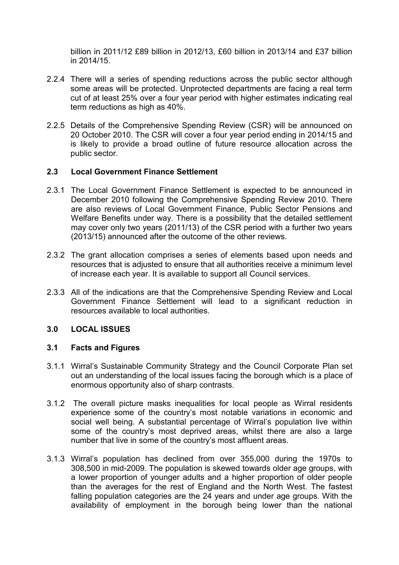billion in 2011/12 £89 billion in 2012/13, £60 billion in 2013/14 and £37 billion in 2014/15.

- 2.2.4 There will a series of spending reductions across the public sector although some areas will be protected. Unprotected departments are facing a real term cut of at least 25% over a four year period with higher estimates indicating real term reductions as high as 40%.
- 2.2.5 Details of the Comprehensive Spending Review (CSR) will be announced on 20 October 2010. The CSR will cover a four year period ending in 2014/15 and is likely to provide a broad outline of future resource allocation across the public sector.

# 2.3 Local Government Finance Settlement

- 2.3.1 The Local Government Finance Settlement is expected to be announced in December 2010 following the Comprehensive Spending Review 2010. There are also reviews of Local Government Finance, Public Sector Pensions and Welfare Benefits under way. There is a possibility that the detailed settlement may cover only two years (2011/13) of the CSR period with a further two years (2013/15) announced after the outcome of the other reviews.
- 2.3.2 The grant allocation comprises a series of elements based upon needs and resources that is adjusted to ensure that all authorities receive a minimum level of increase each year. It is available to support all Council services.
- 2.3.3 All of the indications are that the Comprehensive Spending Review and Local Government Finance Settlement will lead to a significant reduction in resources available to local authorities.

# 3.0 LOCAL ISSUES

# 3.1 Facts and Figures

- 3.1.1 Wirral's Sustainable Community Strategy and the Council Corporate Plan set out an understanding of the local issues facing the borough which is a place of enormous opportunity also of sharp contrasts.
- 3.1.2 The overall picture masks inequalities for local people as Wirral residents experience some of the country's most notable variations in economic and social well being. A substantial percentage of Wirral's population live within some of the country's most deprived areas, whilst there are also a large number that live in some of the country's most affluent areas.
- 3.1.3 Wirral's population has declined from over 355,000 during the 1970s to 308,500 in mid-2009. The population is skewed towards older age groups, with a lower proportion of younger adults and a higher proportion of older people than the averages for the rest of England and the North West. The fastest falling population categories are the 24 years and under age groups. With the availability of employment in the borough being lower than the national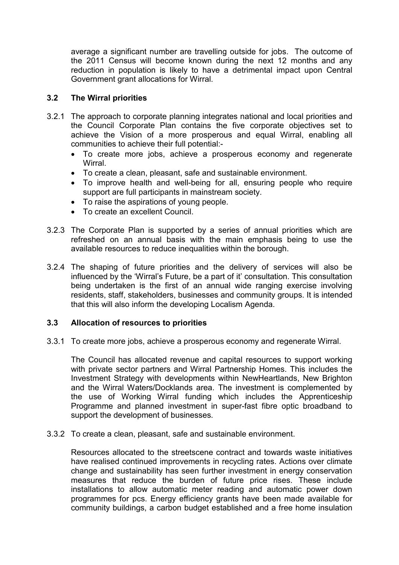average a significant number are travelling outside for jobs. The outcome of the 2011 Census will become known during the next 12 months and any reduction in population is likely to have a detrimental impact upon Central Government grant allocations for Wirral.

# 3.2 The Wirral priorities

- 3.2.1 The approach to corporate planning integrates national and local priorities and the Council Corporate Plan contains the five corporate objectives set to achieve the Vision of a more prosperous and equal Wirral, enabling all communities to achieve their full potential:-
	- To create more jobs, achieve a prosperous economy and regenerate Wirral.
	- To create a clean, pleasant, safe and sustainable environment.
	- To improve health and well-being for all, ensuring people who require support are full participants in mainstream society.
	- To raise the aspirations of young people.
	- To create an excellent Council.
- 3.2.3 The Corporate Plan is supported by a series of annual priorities which are refreshed on an annual basis with the main emphasis being to use the available resources to reduce inequalities within the borough.
- 3.2.4 The shaping of future priorities and the delivery of services will also be influenced by the 'Wirral's Future, be a part of it' consultation. This consultation being undertaken is the first of an annual wide ranging exercise involving residents, staff, stakeholders, businesses and community groups. It is intended that this will also inform the developing Localism Agenda.

# 3.3 Allocation of resources to priorities

3.3.1 To create more jobs, achieve a prosperous economy and regenerate Wirral.

The Council has allocated revenue and capital resources to support working with private sector partners and Wirral Partnership Homes. This includes the Investment Strategy with developments within NewHeartlands, New Brighton and the Wirral Waters/Docklands area. The investment is complemented by the use of Working Wirral funding which includes the Apprenticeship Programme and planned investment in super-fast fibre optic broadband to support the development of businesses.

3.3.2 To create a clean, pleasant, safe and sustainable environment.

Resources allocated to the streetscene contract and towards waste initiatives have realised continued improvements in recycling rates. Actions over climate change and sustainability has seen further investment in energy conservation measures that reduce the burden of future price rises. These include installations to allow automatic meter reading and automatic power down programmes for pcs. Energy efficiency grants have been made available for community buildings, a carbon budget established and a free home insulation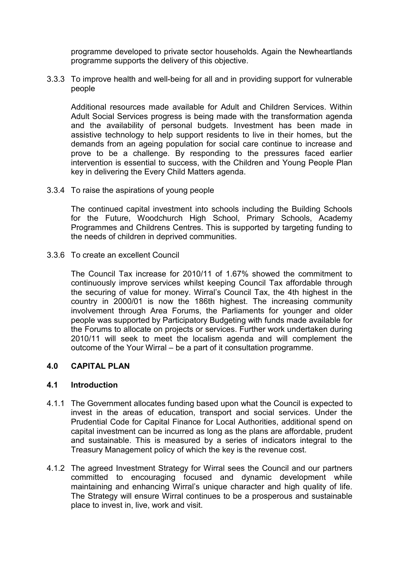programme developed to private sector households. Again the Newheartlands programme supports the delivery of this objective.

3.3.3 To improve health and well-being for all and in providing support for vulnerable people

Additional resources made available for Adult and Children Services. Within Adult Social Services progress is being made with the transformation agenda and the availability of personal budgets. Investment has been made in assistive technology to help support residents to live in their homes, but the demands from an ageing population for social care continue to increase and prove to be a challenge. By responding to the pressures faced earlier intervention is essential to success, with the Children and Young People Plan key in delivering the Every Child Matters agenda.

3.3.4 To raise the aspirations of young people

The continued capital investment into schools including the Building Schools for the Future, Woodchurch High School, Primary Schools, Academy Programmes and Childrens Centres. This is supported by targeting funding to the needs of children in deprived communities.

3.3.6 To create an excellent Council

The Council Tax increase for 2010/11 of 1.67% showed the commitment to continuously improve services whilst keeping Council Tax affordable through the securing of value for money. Wirral's Council Tax, the 4th highest in the country in 2000/01 is now the 186th highest. The increasing community involvement through Area Forums, the Parliaments for younger and older people was supported by Participatory Budgeting with funds made available for the Forums to allocate on projects or services. Further work undertaken during 2010/11 will seek to meet the localism agenda and will complement the outcome of the Your Wirral – be a part of it consultation programme.

# 4.0 CAPITAL PLAN

# 4.1 Introduction

- 4.1.1 The Government allocates funding based upon what the Council is expected to invest in the areas of education, transport and social services. Under the Prudential Code for Capital Finance for Local Authorities, additional spend on capital investment can be incurred as long as the plans are affordable, prudent and sustainable. This is measured by a series of indicators integral to the Treasury Management policy of which the key is the revenue cost.
- 4.1.2 The agreed Investment Strategy for Wirral sees the Council and our partners committed to encouraging focused and dynamic development while maintaining and enhancing Wirral's unique character and high quality of life. The Strategy will ensure Wirral continues to be a prosperous and sustainable place to invest in, live, work and visit.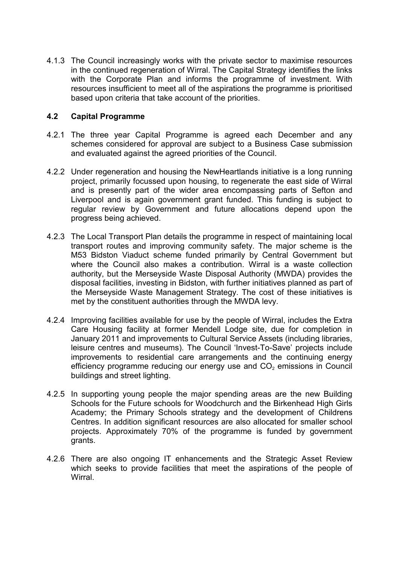4.1.3 The Council increasingly works with the private sector to maximise resources in the continued regeneration of Wirral. The Capital Strategy identifies the links with the Corporate Plan and informs the programme of investment. With resources insufficient to meet all of the aspirations the programme is prioritised based upon criteria that take account of the priorities.

# 4.2 Capital Programme

- 4.2.1 The three year Capital Programme is agreed each December and any schemes considered for approval are subject to a Business Case submission and evaluated against the agreed priorities of the Council.
- 4.2.2 Under regeneration and housing the NewHeartlands initiative is a long running project, primarily focussed upon housing, to regenerate the east side of Wirral and is presently part of the wider area encompassing parts of Sefton and Liverpool and is again government grant funded. This funding is subject to regular review by Government and future allocations depend upon the progress being achieved.
- 4.2.3 The Local Transport Plan details the programme in respect of maintaining local transport routes and improving community safety. The major scheme is the M53 Bidston Viaduct scheme funded primarily by Central Government but where the Council also makes a contribution. Wirral is a waste collection authority, but the Merseyside Waste Disposal Authority (MWDA) provides the disposal facilities, investing in Bidston, with further initiatives planned as part of the Merseyside Waste Management Strategy. The cost of these initiatives is met by the constituent authorities through the MWDA levy.
- 4.2.4 Improving facilities available for use by the people of Wirral, includes the Extra Care Housing facility at former Mendell Lodge site, due for completion in January 2011 and improvements to Cultural Service Assets (including libraries, leisure centres and museums). The Council 'Invest-To-Save' projects include improvements to residential care arrangements and the continuing energy efficiency programme reducing our energy use and  $CO<sub>2</sub>$  emissions in Council buildings and street lighting.
- 4.2.5 In supporting young people the major spending areas are the new Building Schools for the Future schools for Woodchurch and the Birkenhead High Girls Academy; the Primary Schools strategy and the development of Childrens Centres. In addition significant resources are also allocated for smaller school projects. Approximately 70% of the programme is funded by government grants.
- 4.2.6 There are also ongoing IT enhancements and the Strategic Asset Review which seeks to provide facilities that meet the aspirations of the people of Wirral.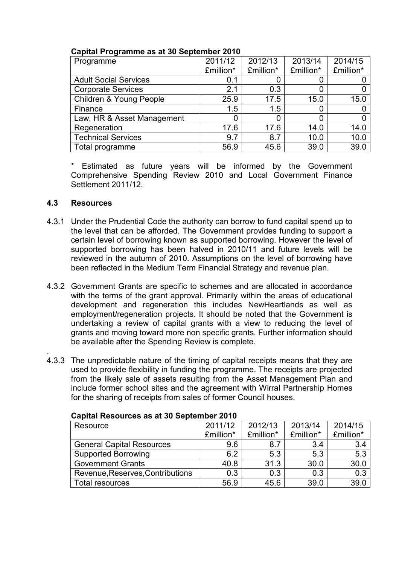# Capital Programme as at 30 September 2010

| Programme                    | 2011/12   | 2012/13   | 2013/14   | 2014/15   |
|------------------------------|-----------|-----------|-----------|-----------|
|                              | £million* | £million* | £million* | £million* |
| <b>Adult Social Services</b> | 0.1       |           |           |           |
| <b>Corporate Services</b>    | 2.1       | 0.3       |           |           |
| Children & Young People      | 25.9      | 17.5      | 15.0      | 15.0      |
| Finance                      | 1.5       | 1.5       | 0         |           |
| Law, HR & Asset Management   |           |           | 0         |           |
| Regeneration                 | 17.6      | 17.6      | 14.0      | 14.0      |
| <b>Technical Services</b>    | 9.7       | 8.7       | 10.0      | 10.0      |
| Total programme              | 56.9      | 45.6      | 39.0      | 39.0      |

\* Estimated as future years will be informed by the Government Comprehensive Spending Review 2010 and Local Government Finance Settlement 2011/12.

# 4.3 Resources

- 4.3.1 Under the Prudential Code the authority can borrow to fund capital spend up to the level that can be afforded. The Government provides funding to support a certain level of borrowing known as supported borrowing. However the level of supported borrowing has been halved in 2010/11 and future levels will be reviewed in the autumn of 2010. Assumptions on the level of borrowing have been reflected in the Medium Term Financial Strategy and revenue plan.
- 4.3.2 Government Grants are specific to schemes and are allocated in accordance with the terms of the grant approval. Primarily within the areas of educational development and regeneration this includes NewHeartlands as well as employment/regeneration projects. It should be noted that the Government is undertaking a review of capital grants with a view to reducing the level of grants and moving toward more non specific grants. Further information should be available after the Spending Review is complete.
- . 4.3.3 The unpredictable nature of the timing of capital receipts means that they are used to provide flexibility in funding the programme. The receipts are projected from the likely sale of assets resulting from the Asset Management Plan and include former school sites and the agreement with Wirral Partnership Homes for the sharing of receipts from sales of former Council houses.

| Resource                         | 2011/12   | 2012/13   | 2013/14   | 2014/15   |
|----------------------------------|-----------|-----------|-----------|-----------|
|                                  | £million* | £million* | £million* | £million* |
| <b>General Capital Resources</b> | 9.6       | 8.7       | 3.4       | 3.4       |
| <b>Supported Borrowing</b>       | 6.2       | 5.3       | 5.3       | 5.3       |
| <b>Government Grants</b>         | 40.8      | 31.3      | 30.0      | 30.0      |
| Revenue, Reserves, Contributions | 0.3       | 0.3       | 0.3       | 0.3       |
| <b>Total resources</b>           | 56.9      | 45.6      | 39.0      | 39.0      |

#### Capital Resources as at 30 September 2010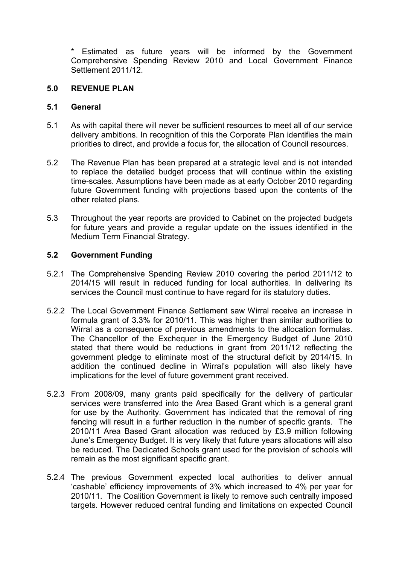\* Estimated as future years will be informed by the Government Comprehensive Spending Review 2010 and Local Government Finance Settlement 2011/12.

# 5.0 REVENUE PLAN

# 5.1 General

- 5.1 As with capital there will never be sufficient resources to meet all of our service delivery ambitions. In recognition of this the Corporate Plan identifies the main priorities to direct, and provide a focus for, the allocation of Council resources.
- 5.2 The Revenue Plan has been prepared at a strategic level and is not intended to replace the detailed budget process that will continue within the existing time-scales. Assumptions have been made as at early October 2010 regarding future Government funding with projections based upon the contents of the other related plans.
- 5.3 Throughout the year reports are provided to Cabinet on the projected budgets for future years and provide a regular update on the issues identified in the Medium Term Financial Strategy.

# 5.2 Government Funding

- 5.2.1 The Comprehensive Spending Review 2010 covering the period 2011/12 to 2014/15 will result in reduced funding for local authorities. In delivering its services the Council must continue to have regard for its statutory duties.
- 5.2.2 The Local Government Finance Settlement saw Wirral receive an increase in formula grant of 3.3% for 2010/11. This was higher than similar authorities to Wirral as a consequence of previous amendments to the allocation formulas. The Chancellor of the Exchequer in the Emergency Budget of June 2010 stated that there would be reductions in grant from 2011/12 reflecting the government pledge to eliminate most of the structural deficit by 2014/15. In addition the continued decline in Wirral's population will also likely have implications for the level of future government grant received.
- 5.2.3 From 2008/09, many grants paid specifically for the delivery of particular services were transferred into the Area Based Grant which is a general grant for use by the Authority. Government has indicated that the removal of ring fencing will result in a further reduction in the number of specific grants. The 2010/11 Area Based Grant allocation was reduced by £3.9 million following June's Emergency Budget. It is very likely that future years allocations will also be reduced. The Dedicated Schools grant used for the provision of schools will remain as the most significant specific grant.
- 5.2.4 The previous Government expected local authorities to deliver annual 'cashable' efficiency improvements of 3% which increased to 4% per year for 2010/11. The Coalition Government is likely to remove such centrally imposed targets. However reduced central funding and limitations on expected Council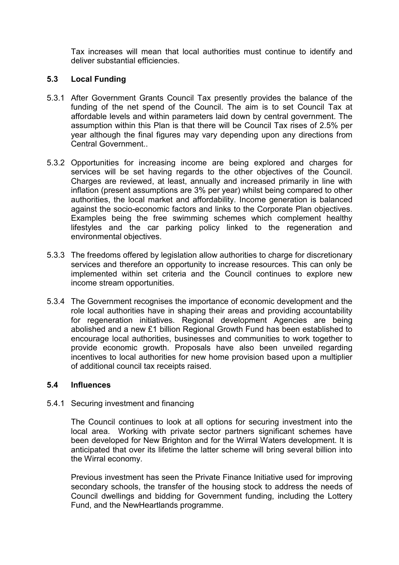Tax increases will mean that local authorities must continue to identify and deliver substantial efficiencies.

# 5.3 Local Funding

- 5.3.1 After Government Grants Council Tax presently provides the balance of the funding of the net spend of the Council. The aim is to set Council Tax at affordable levels and within parameters laid down by central government. The assumption within this Plan is that there will be Council Tax rises of 2.5% per year although the final figures may vary depending upon any directions from Central Government..
- 5.3.2 Opportunities for increasing income are being explored and charges for services will be set having regards to the other objectives of the Council. Charges are reviewed, at least, annually and increased primarily in line with inflation (present assumptions are 3% per year) whilst being compared to other authorities, the local market and affordability. Income generation is balanced against the socio-economic factors and links to the Corporate Plan objectives. Examples being the free swimming schemes which complement healthy lifestyles and the car parking policy linked to the regeneration and environmental objectives.
- 5.3.3 The freedoms offered by legislation allow authorities to charge for discretionary services and therefore an opportunity to increase resources. This can only be implemented within set criteria and the Council continues to explore new income stream opportunities.
- 5.3.4 The Government recognises the importance of economic development and the role local authorities have in shaping their areas and providing accountability for regeneration initiatives. Regional development Agencies are being abolished and a new £1 billion Regional Growth Fund has been established to encourage local authorities, businesses and communities to work together to provide economic growth. Proposals have also been unveiled regarding incentives to local authorities for new home provision based upon a multiplier of additional council tax receipts raised.

# 5.4 Influences

# 5.4.1 Securing investment and financing

The Council continues to look at all options for securing investment into the local area. Working with private sector partners significant schemes have been developed for New Brighton and for the Wirral Waters development. It is anticipated that over its lifetime the latter scheme will bring several billion into the Wirral economy.

Previous investment has seen the Private Finance Initiative used for improving secondary schools, the transfer of the housing stock to address the needs of Council dwellings and bidding for Government funding, including the Lottery Fund, and the NewHeartlands programme.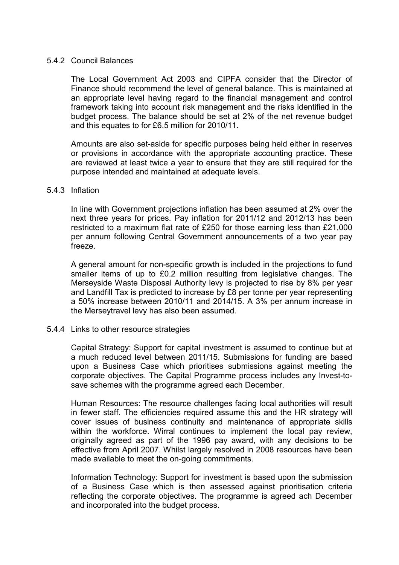### 5.4.2 Council Balances

The Local Government Act 2003 and CIPFA consider that the Director of Finance should recommend the level of general balance. This is maintained at an appropriate level having regard to the financial management and control framework taking into account risk management and the risks identified in the budget process. The balance should be set at 2% of the net revenue budget and this equates to for £6.5 million for 2010/11.

Amounts are also set-aside for specific purposes being held either in reserves or provisions in accordance with the appropriate accounting practice. These are reviewed at least twice a year to ensure that they are still required for the purpose intended and maintained at adequate levels.

#### 5.4.3 Inflation

In line with Government projections inflation has been assumed at 2% over the next three years for prices. Pay inflation for 2011/12 and 2012/13 has been restricted to a maximum flat rate of £250 for those earning less than £21,000 per annum following Central Government announcements of a two year pay freeze.

A general amount for non-specific growth is included in the projections to fund smaller items of up to £0.2 million resulting from legislative changes. The Merseyside Waste Disposal Authority levy is projected to rise by 8% per year and Landfill Tax is predicted to increase by £8 per tonne per year representing a 50% increase between 2010/11 and 2014/15. A 3% per annum increase in the Merseytravel levy has also been assumed.

#### 5.4.4 Links to other resource strategies

Capital Strategy: Support for capital investment is assumed to continue but at a much reduced level between 2011/15. Submissions for funding are based upon a Business Case which prioritises submissions against meeting the corporate objectives. The Capital Programme process includes any Invest-tosave schemes with the programme agreed each December.

Human Resources: The resource challenges facing local authorities will result in fewer staff. The efficiencies required assume this and the HR strategy will cover issues of business continuity and maintenance of appropriate skills within the workforce. Wirral continues to implement the local pay review, originally agreed as part of the 1996 pay award, with any decisions to be effective from April 2007. Whilst largely resolved in 2008 resources have been made available to meet the on-going commitments.

Information Technology: Support for investment is based upon the submission of a Business Case which is then assessed against prioritisation criteria reflecting the corporate objectives. The programme is agreed ach December and incorporated into the budget process.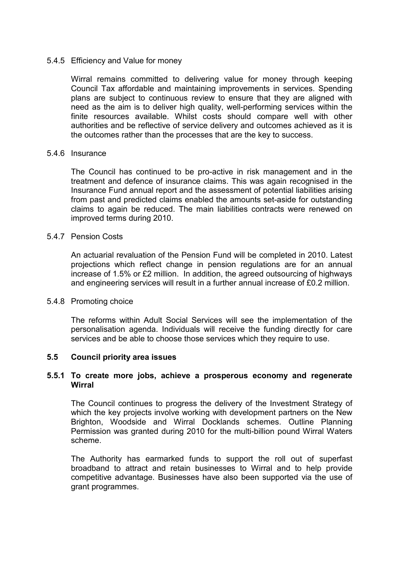### 5.4.5 Efficiency and Value for money

Wirral remains committed to delivering value for money through keeping Council Tax affordable and maintaining improvements in services. Spending plans are subject to continuous review to ensure that they are aligned with need as the aim is to deliver high quality, well-performing services within the finite resources available. Whilst costs should compare well with other authorities and be reflective of service delivery and outcomes achieved as it is the outcomes rather than the processes that are the key to success.

#### 5.4.6 Insurance

The Council has continued to be pro-active in risk management and in the treatment and defence of insurance claims. This was again recognised in the Insurance Fund annual report and the assessment of potential liabilities arising from past and predicted claims enabled the amounts set-aside for outstanding claims to again be reduced. The main liabilities contracts were renewed on improved terms during 2010.

### 5.4.7 Pension Costs

An actuarial revaluation of the Pension Fund will be completed in 2010. Latest projections which reflect change in pension regulations are for an annual increase of 1.5% or £2 million. In addition, the agreed outsourcing of highways and engineering services will result in a further annual increase of £0.2 million.

#### 5.4.8 Promoting choice

The reforms within Adult Social Services will see the implementation of the personalisation agenda. Individuals will receive the funding directly for care services and be able to choose those services which they require to use.

# 5.5 Council priority area issues

### 5.5.1 To create more jobs, achieve a prosperous economy and regenerate Wirral

The Council continues to progress the delivery of the Investment Strategy of which the key projects involve working with development partners on the New Brighton, Woodside and Wirral Docklands schemes. Outline Planning Permission was granted during 2010 for the multi-billion pound Wirral Waters scheme.

The Authority has earmarked funds to support the roll out of superfast broadband to attract and retain businesses to Wirral and to help provide competitive advantage. Businesses have also been supported via the use of grant programmes.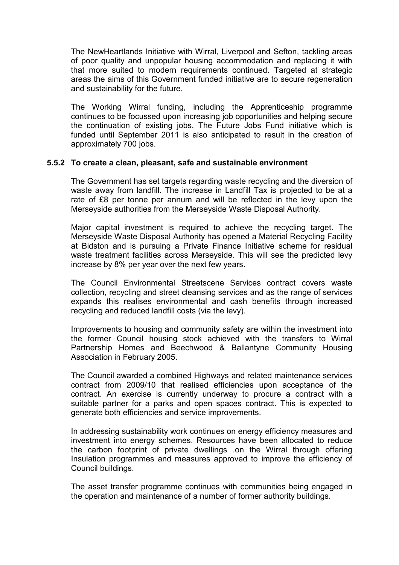The NewHeartlands Initiative with Wirral, Liverpool and Sefton, tackling areas of poor quality and unpopular housing accommodation and replacing it with that more suited to modern requirements continued. Targeted at strategic areas the aims of this Government funded initiative are to secure regeneration and sustainability for the future.

The Working Wirral funding, including the Apprenticeship programme continues to be focussed upon increasing job opportunities and helping secure the continuation of existing jobs. The Future Jobs Fund initiative which is funded until September 2011 is also anticipated to result in the creation of approximately 700 jobs.

### 5.5.2 To create a clean, pleasant, safe and sustainable environment

The Government has set targets regarding waste recycling and the diversion of waste away from landfill. The increase in Landfill Tax is projected to be at a rate of £8 per tonne per annum and will be reflected in the levy upon the Merseyside authorities from the Merseyside Waste Disposal Authority.

Major capital investment is required to achieve the recycling target. The Merseyside Waste Disposal Authority has opened a Material Recycling Facility at Bidston and is pursuing a Private Finance Initiative scheme for residual waste treatment facilities across Merseyside. This will see the predicted levy increase by 8% per year over the next few years.

The Council Environmental Streetscene Services contract covers waste collection, recycling and street cleansing services and as the range of services expands this realises environmental and cash benefits through increased recycling and reduced landfill costs (via the levy).

Improvements to housing and community safety are within the investment into the former Council housing stock achieved with the transfers to Wirral Partnership Homes and Beechwood & Ballantyne Community Housing Association in February 2005.

The Council awarded a combined Highways and related maintenance services contract from 2009/10 that realised efficiencies upon acceptance of the contract. An exercise is currently underway to procure a contract with a suitable partner for a parks and open spaces contract. This is expected to generate both efficiencies and service improvements.

In addressing sustainability work continues on energy efficiency measures and investment into energy schemes. Resources have been allocated to reduce the carbon footprint of private dwellings .on the Wirral through offering Insulation programmes and measures approved to improve the efficiency of Council buildings.

The asset transfer programme continues with communities being engaged in the operation and maintenance of a number of former authority buildings.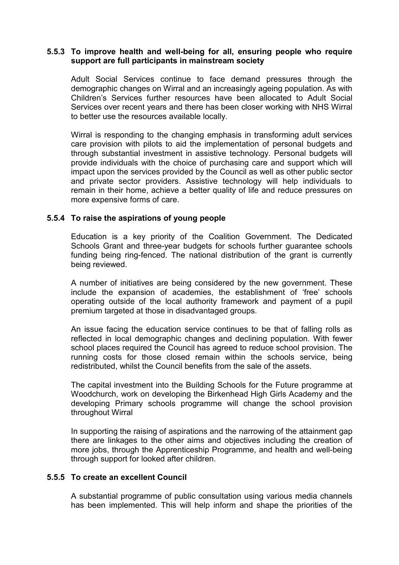### 5.5.3 To improve health and well-being for all, ensuring people who require support are full participants in mainstream society

Adult Social Services continue to face demand pressures through the demographic changes on Wirral and an increasingly ageing population. As with Children's Services further resources have been allocated to Adult Social Services over recent years and there has been closer working with NHS Wirral to better use the resources available locally.

Wirral is responding to the changing emphasis in transforming adult services care provision with pilots to aid the implementation of personal budgets and through substantial investment in assistive technology. Personal budgets will provide individuals with the choice of purchasing care and support which will impact upon the services provided by the Council as well as other public sector and private sector providers. Assistive technology will help individuals to remain in their home, achieve a better quality of life and reduce pressures on more expensive forms of care.

# 5.5.4 To raise the aspirations of young people

Education is a key priority of the Coalition Government. The Dedicated Schools Grant and three-year budgets for schools further guarantee schools funding being ring-fenced. The national distribution of the grant is currently being reviewed.

A number of initiatives are being considered by the new government. These include the expansion of academies, the establishment of 'free' schools operating outside of the local authority framework and payment of a pupil premium targeted at those in disadvantaged groups.

An issue facing the education service continues to be that of falling rolls as reflected in local demographic changes and declining population. With fewer school places required the Council has agreed to reduce school provision. The running costs for those closed remain within the schools service, being redistributed, whilst the Council benefits from the sale of the assets.

The capital investment into the Building Schools for the Future programme at Woodchurch, work on developing the Birkenhead High Girls Academy and the developing Primary schools programme will change the school provision throughout Wirral

In supporting the raising of aspirations and the narrowing of the attainment gap there are linkages to the other aims and objectives including the creation of more jobs, through the Apprenticeship Programme, and health and well-being through support for looked after children.

# 5.5.5 To create an excellent Council

A substantial programme of public consultation using various media channels has been implemented. This will help inform and shape the priorities of the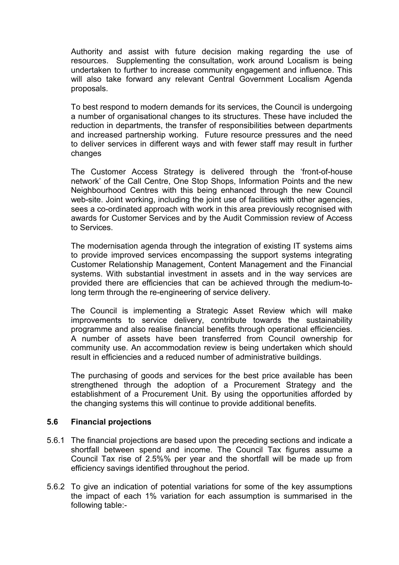Authority and assist with future decision making regarding the use of resources. Supplementing the consultation, work around Localism is being undertaken to further to increase community engagement and influence. This will also take forward any relevant Central Government Localism Agenda proposals.

To best respond to modern demands for its services, the Council is undergoing a number of organisational changes to its structures. These have included the reduction in departments, the transfer of responsibilities between departments and increased partnership working. Future resource pressures and the need to deliver services in different ways and with fewer staff may result in further changes

The Customer Access Strategy is delivered through the 'front-of-house network' of the Call Centre, One Stop Shops, Information Points and the new Neighbourhood Centres with this being enhanced through the new Council web-site. Joint working, including the joint use of facilities with other agencies. sees a co-ordinated approach with work in this area previously recognised with awards for Customer Services and by the Audit Commission review of Access to Services.

The modernisation agenda through the integration of existing IT systems aims to provide improved services encompassing the support systems integrating Customer Relationship Management, Content Management and the Financial systems. With substantial investment in assets and in the way services are provided there are efficiencies that can be achieved through the medium-tolong term through the re-engineering of service delivery.

The Council is implementing a Strategic Asset Review which will make improvements to service delivery, contribute towards the sustainability programme and also realise financial benefits through operational efficiencies. A number of assets have been transferred from Council ownership for community use. An accommodation review is being undertaken which should result in efficiencies and a reduced number of administrative buildings.

The purchasing of goods and services for the best price available has been strengthened through the adoption of a Procurement Strategy and the establishment of a Procurement Unit. By using the opportunities afforded by the changing systems this will continue to provide additional benefits.

# 5.6 Financial projections

- 5.6.1 The financial projections are based upon the preceding sections and indicate a shortfall between spend and income. The Council Tax figures assume a Council Tax rise of 2.5%% per year and the shortfall will be made up from efficiency savings identified throughout the period.
- 5.6.2 To give an indication of potential variations for some of the key assumptions the impact of each 1% variation for each assumption is summarised in the following table:-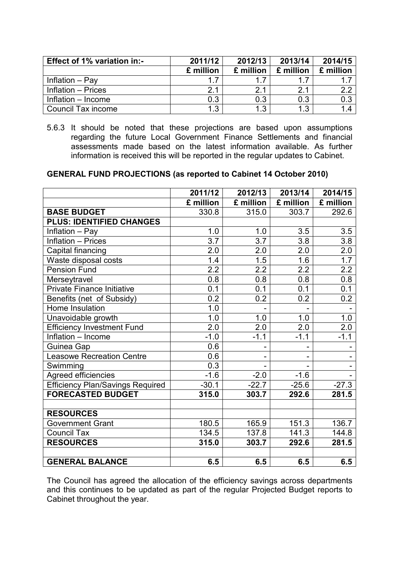| <b>Effect of 1% variation in:-</b> | 2011/12   | 2012/13   | 2013/14   | 2014/15   |
|------------------------------------|-----------|-----------|-----------|-----------|
|                                    | £ million | £ million | £ million | £ million |
| Inflation – Pay                    | 17        |           |           |           |
| Inflation - Prices                 | 2.1       | 2.1       | 21        | 22        |
| Inflation - Income                 | 0.3       | 0.3       | 0.3       | 0.3       |
| Council Tax income                 | 1.3       | 1.3       | 1.3       |           |

5.6.3 It should be noted that these projections are based upon assumptions regarding the future Local Government Finance Settlements and financial assessments made based on the latest information available. As further information is received this will be reported in the regular updates to Cabinet.

# GENERAL FUND PROJECTIONS (as reported to Cabinet 14 October 2010)

|                                         | 2011/12          | 2012/13   | 2013/14   | 2014/15   |
|-----------------------------------------|------------------|-----------|-----------|-----------|
|                                         | £ million        | £ million | £ million | £ million |
| <b>BASE BUDGET</b>                      | 330.8            | 315.0     | 303.7     | 292.6     |
| <b>PLUS: IDENTIFIED CHANGES</b>         |                  |           |           |           |
| Inflation - Pay                         | 1.0              | 1.0       | 3.5       | 3.5       |
| <b>Inflation - Prices</b>               | 3.7              | 3.7       | 3.8       | 3.8       |
| Capital financing                       | 2.0              | 2.0       | 2.0       | 2.0       |
| Waste disposal costs                    | 1.4              | 1.5       | 1.6       | 1.7       |
| <b>Pension Fund</b>                     | 2.2              | 2.2       | 2.2       | 2.2       |
| Merseytravel                            | 0.8              | 0.8       | 0.8       | 0.8       |
| Private Finance Initiative              | 0.1              | 0.1       | 0.1       | 0.1       |
| Benefits (net of Subsidy)               | 0.2              | 0.2       | 0.2       | 0.2       |
| Home Insulation                         | 1.0              |           |           |           |
| Unavoidable growth                      | 1.0              | 1.0       | 1.0       | 1.0       |
| <b>Efficiency Investment Fund</b>       | 2.0              | 2.0       | 2.0       | 2.0       |
| Inflation - Income                      | $-1.0$           | $-1.1$    | $-1.1$    | $-1.1$    |
| Guinea Gap                              | 0.6              |           |           |           |
| <b>Leasowe Recreation Centre</b>        | 0.6              | -         |           |           |
| Swimming                                | $\overline{0.3}$ |           |           |           |
| Agreed efficiencies                     | $-1.6$           | $-2.0$    | $-1.6$    |           |
| <b>Efficiency Plan/Savings Required</b> | $-30.1$          | $-22.7$   | $-25.6$   | $-27.3$   |
| <b>FORECASTED BUDGET</b>                | 315.0            | 303.7     | 292.6     | 281.5     |
|                                         |                  |           |           |           |
| <b>RESOURCES</b>                        |                  |           |           |           |
| <b>Government Grant</b>                 | 180.5            | 165.9     | 151.3     | 136.7     |
| <b>Council Tax</b>                      | 134.5            | 137.8     | 141.3     | 144.8     |
| <b>RESOURCES</b>                        | 315.0            | 303.7     | 292.6     | 281.5     |
|                                         |                  |           |           |           |
| <b>GENERAL BALANCE</b>                  | 6.5              | 6.5       | 6.5       | 6.5       |

The Council has agreed the allocation of the efficiency savings across departments and this continues to be updated as part of the regular Projected Budget reports to Cabinet throughout the year.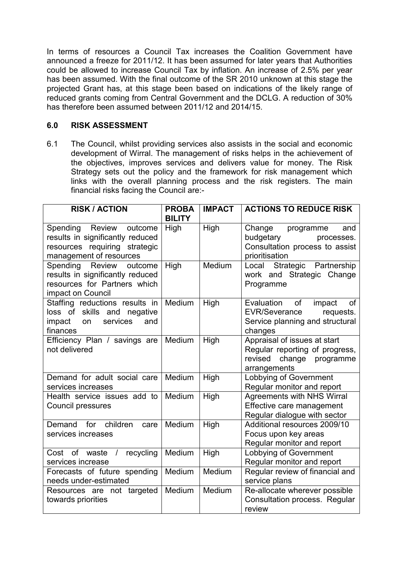In terms of resources a Council Tax increases the Coalition Government have announced a freeze for 2011/12. It has been assumed for later years that Authorities could be allowed to increase Council Tax by inflation. An increase of 2.5% per year has been assumed. With the final outcome of the SR 2010 unknown at this stage the projected Grant has, at this stage been based on indications of the likely range of reduced grants coming from Central Government and the DCLG. A reduction of 30% has therefore been assumed between 2011/12 and 2014/15.

# 6.0 RISK ASSESSMENT

6.1 The Council, whilst providing services also assists in the social and economic development of Wirral. The management of risks helps in the achievement of the objectives, improves services and delivers value for money. The Risk Strategy sets out the policy and the framework for risk management which links with the overall planning process and the risk registers. The main financial risks facing the Council are:-

| <b>RISK / ACTION</b>                                                                                                       | <b>PROBA</b><br><b>BILITY</b> | <b>IMPACT</b> | <b>ACTIONS TO REDUCE RISK</b>                                                                                       |
|----------------------------------------------------------------------------------------------------------------------------|-------------------------------|---------------|---------------------------------------------------------------------------------------------------------------------|
| Spending Review<br>outcome<br>results in significantly reduced<br>resources requiring strategic<br>management of resources | High                          | High          | Change<br>programme<br>and<br>budgetary<br>processes.<br>Consultation process to assist<br>prioritisation           |
| Spending Review<br>outcome<br>results in significantly reduced<br>resources for Partners which<br>impact on Council        | High                          | Medium        | Strategic Partnership<br>Local<br>work and Strategic Change<br>Programme                                            |
| Staffing reductions results in<br>loss of skills and negative<br>services<br>impact<br>on<br>and<br>finances               | Medium                        | High          | Evaluation<br>of<br>impact<br>οf<br><b>EVR/Severance</b><br>requests.<br>Service planning and structural<br>changes |
| Efficiency Plan / savings are<br>not delivered                                                                             | Medium                        | High          | Appraisal of issues at start<br>Regular reporting of progress,<br>revised<br>change<br>programme<br>arrangements    |
| Demand for adult social care<br>services increases                                                                         | Medium                        | High          | Lobbying of Government<br>Regular monitor and report                                                                |
| Health service issues add to<br>Council pressures                                                                          | Medium                        | High          | <b>Agreements with NHS Wirral</b><br>Effective care management<br>Regular dialogue with sector                      |
| for<br>children<br>Demand<br>care<br>services increases                                                                    | Medium                        | High          | Additional resources 2009/10<br>Focus upon key areas<br>Regular monitor and report                                  |
| recycling<br>Cost of waste<br>$\sqrt{2}$<br>services increase                                                              | Medium                        | High          | Lobbying of Government<br>Regular monitor and report                                                                |
| Forecasts of future spending<br>needs under-estimated                                                                      | Medium                        | Medium        | Regular review of financial and<br>service plans                                                                    |
| Resources are not targeted<br>towards priorities                                                                           | Medium                        | Medium        | Re-allocate wherever possible<br>Consultation process. Regular<br>review                                            |